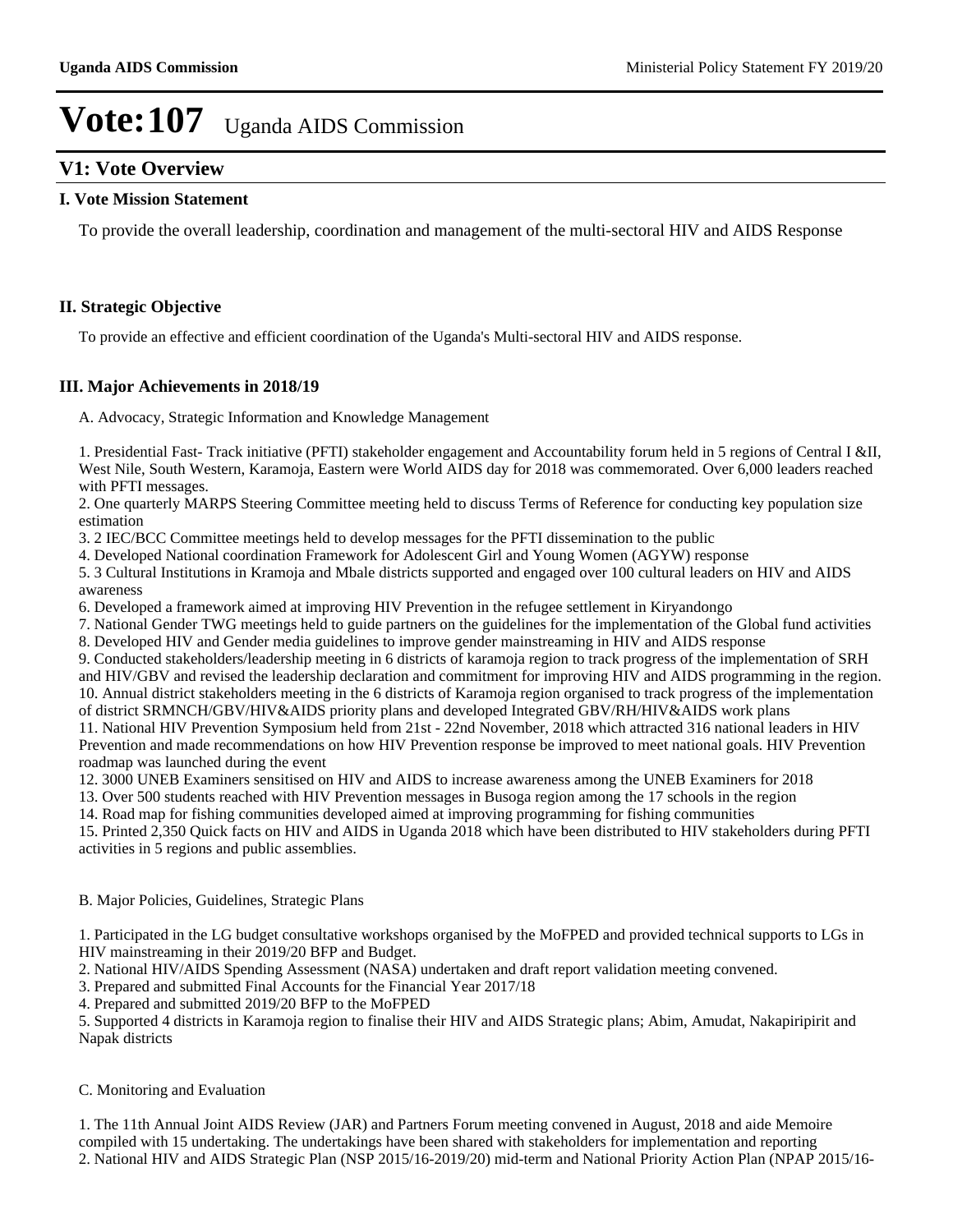## **V1: Vote Overview**

### **I. Vote Mission Statement**

To provide the overall leadership, coordination and management of the multi-sectoral HIV and AIDS Response

### **II. Strategic Objective**

To provide an effective and efficient coordination of the Uganda's Multi-sectoral HIV and AIDS response.

### **III. Major Achievements in 2018/19**

A. Advocacy, Strategic Information and Knowledge Management

1. Presidential Fast- Track initiative (PFTI) stakeholder engagement and Accountability forum held in 5 regions of Central I &II, West Nile, South Western, Karamoja, Eastern were World AIDS day for 2018 was commemorated. Over 6,000 leaders reached with PFTI messages.

2. One quarterly MARPS Steering Committee meeting held to discuss Terms of Reference for conducting key population size estimation

3. 2 IEC/BCC Committee meetings held to develop messages for the PFTI dissemination to the public

4. Developed National coordination Framework for Adolescent Girl and Young Women (AGYW) response

5. 3 Cultural Institutions in Kramoja and Mbale districts supported and engaged over 100 cultural leaders on HIV and AIDS awareness

6. Developed a framework aimed at improving HIV Prevention in the refugee settlement in Kiryandongo

7. National Gender TWG meetings held to guide partners on the guidelines for the implementation of the Global fund activities

8. Developed HIV and Gender media guidelines to improve gender mainstreaming in HIV and AIDS response

9. Conducted stakeholders/leadership meeting in 6 districts of karamoja region to track progress of the implementation of SRH and HIV/GBV and revised the leadership declaration and commitment for improving HIV and AIDS programming in the region. 10. Annual district stakeholders meeting in the 6 districts of Karamoja region organised to track progress of the implementation

of district SRMNCH/GBV/HIV&AIDS priority plans and developed Integrated GBV/RH/HIV&AIDS work plans 11. National HIV Prevention Symposium held from 21st - 22nd November, 2018 which attracted 316 national leaders in HIV

Prevention and made recommendations on how HIV Prevention response be improved to meet national goals. HIV Prevention roadmap was launched during the event

12. 3000 UNEB Examiners sensitised on HIV and AIDS to increase awareness among the UNEB Examiners for 2018

13. Over 500 students reached with HIV Prevention messages in Busoga region among the 17 schools in the region

14. Road map for fishing communities developed aimed at improving programming for fishing communities

15. Printed 2,350 Quick facts on HIV and AIDS in Uganda 2018 which have been distributed to HIV stakeholders during PFTI activities in 5 regions and public assemblies.

#### B. Major Policies, Guidelines, Strategic Plans

1. Participated in the LG budget consultative workshops organised by the MoFPED and provided technical supports to LGs in HIV mainstreaming in their 2019/20 BFP and Budget.

2. National HIV/AIDS Spending Assessment (NASA) undertaken and draft report validation meeting convened.

3. Prepared and submitted Final Accounts for the Financial Year 2017/18

4. Prepared and submitted 2019/20 BFP to the MoFPED

5. Supported 4 districts in Karamoja region to finalise their HIV and AIDS Strategic plans; Abim, Amudat, Nakapiripirit and Napak districts

#### C. Monitoring and Evaluation

1. The 11th Annual Joint AIDS Review (JAR) and Partners Forum meeting convened in August, 2018 and aide Memoire compiled with 15 undertaking. The undertakings have been shared with stakeholders for implementation and reporting 2. National HIV and AIDS Strategic Plan (NSP 2015/16-2019/20) mid-term and National Priority Action Plan (NPAP 2015/16-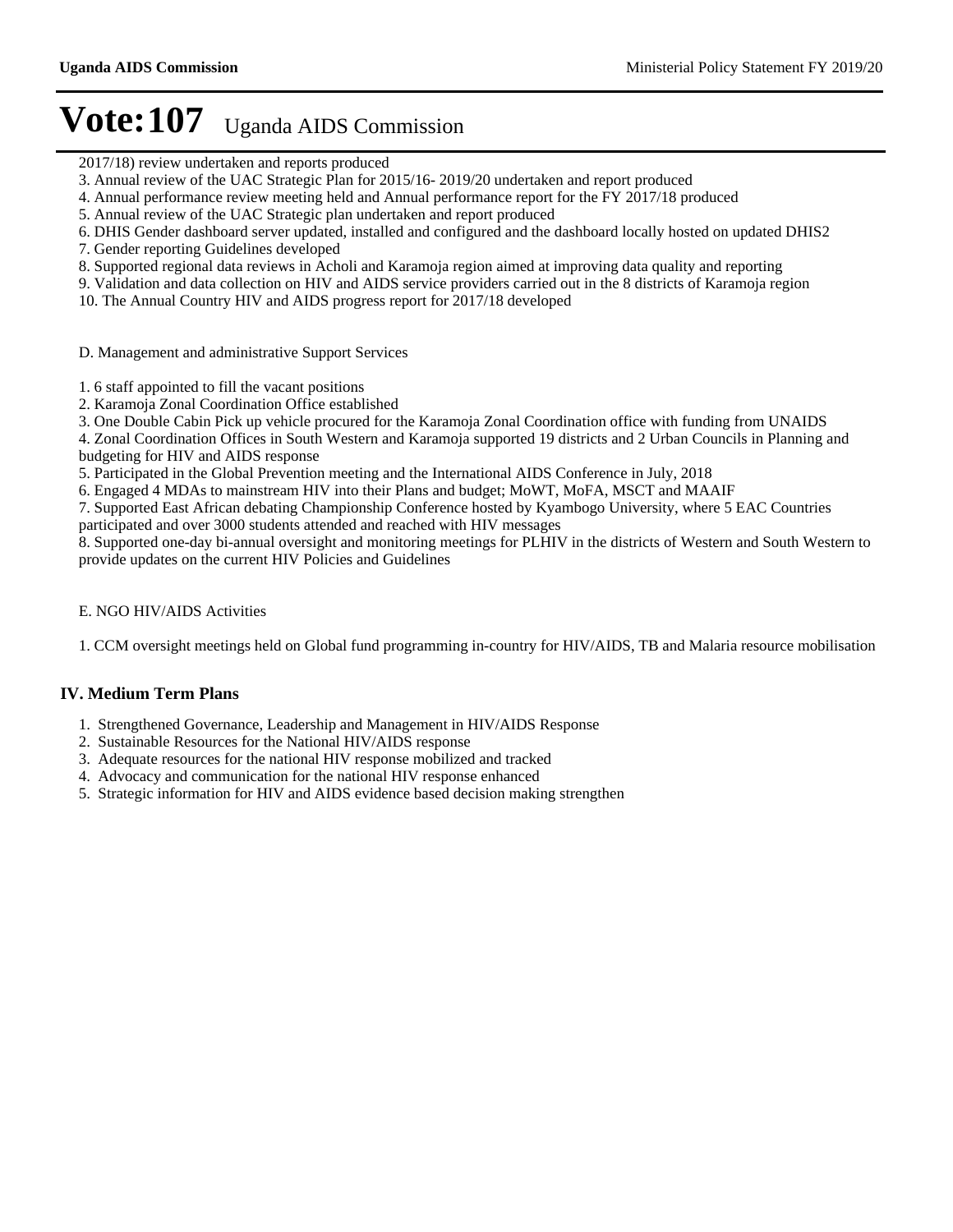- 2017/18) review undertaken and reports produced
- 3. Annual review of the UAC Strategic Plan for 2015/16- 2019/20 undertaken and report produced
- 4. Annual performance review meeting held and Annual performance report for the FY 2017/18 produced
- 5. Annual review of the UAC Strategic plan undertaken and report produced
- 6. DHIS Gender dashboard server updated, installed and configured and the dashboard locally hosted on updated DHIS2
- 7. Gender reporting Guidelines developed
- 8. Supported regional data reviews in Acholi and Karamoja region aimed at improving data quality and reporting
- 9. Validation and data collection on HIV and AIDS service providers carried out in the 8 districts of Karamoja region
- 10. The Annual Country HIV and AIDS progress report for 2017/18 developed
- D. Management and administrative Support Services
- 1. 6 staff appointed to fill the vacant positions
- 2. Karamoja Zonal Coordination Office established
- 3. One Double Cabin Pick up vehicle procured for the Karamoja Zonal Coordination office with funding from UNAIDS

4. Zonal Coordination Offices in South Western and Karamoja supported 19 districts and 2 Urban Councils in Planning and budgeting for HIV and AIDS response

5. Participated in the Global Prevention meeting and the International AIDS Conference in July, 2018

6. Engaged 4 MDAs to mainstream HIV into their Plans and budget; MoWT, MoFA, MSCT and MAAIF

7. Supported East African debating Championship Conference hosted by Kyambogo University, where 5 EAC Countries participated and over 3000 students attended and reached with HIV messages

8. Supported one-day bi-annual oversight and monitoring meetings for PLHIV in the districts of Western and South Western to provide updates on the current HIV Policies and Guidelines

### E. NGO HIV/AIDS Activities

1. CCM oversight meetings held on Global fund programming in-country for HIV/AIDS, TB and Malaria resource mobilisation

## **IV. Medium Term Plans**

- 1. Strengthened Governance, Leadership and Management in HIV/AIDS Response
- 2. Sustainable Resources for the National HIV/AIDS response
- 3. Adequate resources for the national HIV response mobilized and tracked
- 4. Advocacy and communication for the national HIV response enhanced
- 5. Strategic information for HIV and AIDS evidence based decision making strengthen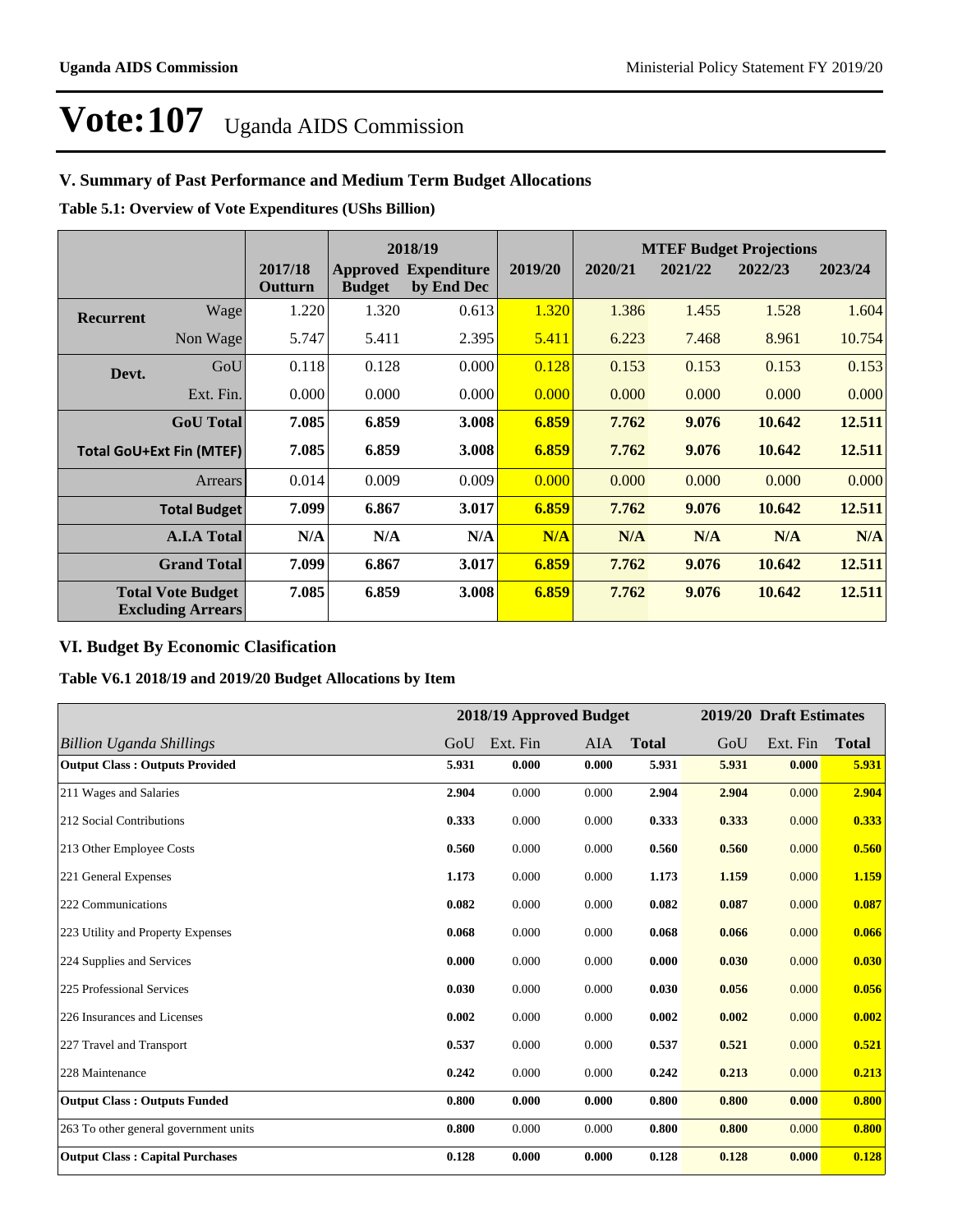## **V. Summary of Past Performance and Medium Term Budget Allocations**

**Table 5.1: Overview of Vote Expenditures (UShs Billion)**

|                                 |                                                      |                    |               | 2018/19                                   |         |         | <b>MTEF Budget Projections</b> |         |         |
|---------------------------------|------------------------------------------------------|--------------------|---------------|-------------------------------------------|---------|---------|--------------------------------|---------|---------|
|                                 |                                                      | 2017/18<br>Outturn | <b>Budget</b> | <b>Approved Expenditure</b><br>by End Dec | 2019/20 | 2020/21 | 2021/22                        | 2022/23 | 2023/24 |
| <b>Recurrent</b>                | Wage                                                 | 1.220              | 1.320         | 0.613                                     | 1.320   | 1.386   | 1.455                          | 1.528   | 1.604   |
|                                 | Non Wage                                             | 5.747              | 5.411         | 2.395                                     | 5.411   | 6.223   | 7.468                          | 8.961   | 10.754  |
| Devt.                           | GoU                                                  | 0.118              | 0.128         | 0.000                                     | 0.128   | 0.153   | 0.153                          | 0.153   | 0.153   |
|                                 | Ext. Fin.                                            | 0.000              | 0.000         | 0.000                                     | 0.000   | 0.000   | 0.000                          | 0.000   | 0.000   |
|                                 | <b>GoU</b> Total                                     | 7.085              | 6.859         | 3.008                                     | 6.859   | 7.762   | 9.076                          | 10.642  | 12.511  |
| <b>Total GoU+Ext Fin (MTEF)</b> |                                                      | 7.085              | 6.859         | 3.008                                     | 6.859   | 7.762   | 9.076                          | 10.642  | 12.511  |
|                                 | Arrears                                              | 0.014              | 0.009         | 0.009                                     | 0.000   | 0.000   | 0.000                          | 0.000   | 0.000   |
|                                 | <b>Total Budget</b>                                  | 7.099              | 6.867         | 3.017                                     | 6.859   | 7.762   | 9.076                          | 10.642  | 12.511  |
|                                 | <b>A.I.A Total</b>                                   | N/A                | N/A           | N/A                                       | N/A     | N/A     | N/A                            | N/A     | N/A     |
|                                 | <b>Grand Total</b>                                   | 7.099              | 6.867         | 3.017                                     | 6.859   | 7.762   | 9.076                          | 10.642  | 12.511  |
|                                 | <b>Total Vote Budget</b><br><b>Excluding Arrears</b> | 7.085              | 6.859         | 3.008                                     | 6.859   | 7.762   | 9.076                          | 10.642  | 12.511  |

## **VI. Budget By Economic Clasification**

**Table V6.1 2018/19 and 2019/20 Budget Allocations by Item**

|                                        |       | 2018/19 Approved Budget |       |              |       | 2019/20 Draft Estimates |              |
|----------------------------------------|-------|-------------------------|-------|--------------|-------|-------------------------|--------------|
| <b>Billion Uganda Shillings</b>        | GoU   | Ext. Fin                | AIA   | <b>Total</b> | GoU   | Ext. Fin                | <b>Total</b> |
| <b>Output Class: Outputs Provided</b>  | 5.931 | 0.000                   | 0.000 | 5.931        | 5.931 | 0.000                   | 5.931        |
| 211 Wages and Salaries                 | 2.904 | 0.000                   | 0.000 | 2.904        | 2.904 | 0.000                   | 2.904        |
| 212 Social Contributions               | 0.333 | 0.000                   | 0.000 | 0.333        | 0.333 | 0.000                   | 0.333        |
| 213 Other Employee Costs               | 0.560 | 0.000                   | 0.000 | 0.560        | 0.560 | 0.000                   | 0.560        |
| 221 General Expenses                   | 1.173 | 0.000                   | 0.000 | 1.173        | 1.159 | 0.000                   | 1.159        |
| 222 Communications                     | 0.082 | 0.000                   | 0.000 | 0.082        | 0.087 | 0.000                   | 0.087        |
| 223 Utility and Property Expenses      | 0.068 | 0.000                   | 0.000 | 0.068        | 0.066 | 0.000                   | 0.066        |
| 224 Supplies and Services              | 0.000 | 0.000                   | 0.000 | 0.000        | 0.030 | 0.000                   | 0.030        |
| 225 Professional Services              | 0.030 | 0.000                   | 0.000 | 0.030        | 0.056 | 0.000                   | 0.056        |
| 226 Insurances and Licenses            | 0.002 | 0.000                   | 0.000 | 0.002        | 0.002 | 0.000                   | 0.002        |
| 227 Travel and Transport               | 0.537 | 0.000                   | 0.000 | 0.537        | 0.521 | 0.000                   | 0.521        |
| 228 Maintenance                        | 0.242 | 0.000                   | 0.000 | 0.242        | 0.213 | 0.000                   | 0.213        |
| <b>Output Class: Outputs Funded</b>    | 0.800 | 0.000                   | 0.000 | 0.800        | 0.800 | 0.000                   | 0.800        |
| 263 To other general government units  | 0.800 | 0.000                   | 0.000 | 0.800        | 0.800 | 0.000                   | 0.800        |
| <b>Output Class: Capital Purchases</b> | 0.128 | 0.000                   | 0.000 | 0.128        | 0.128 | 0.000                   | 0.128        |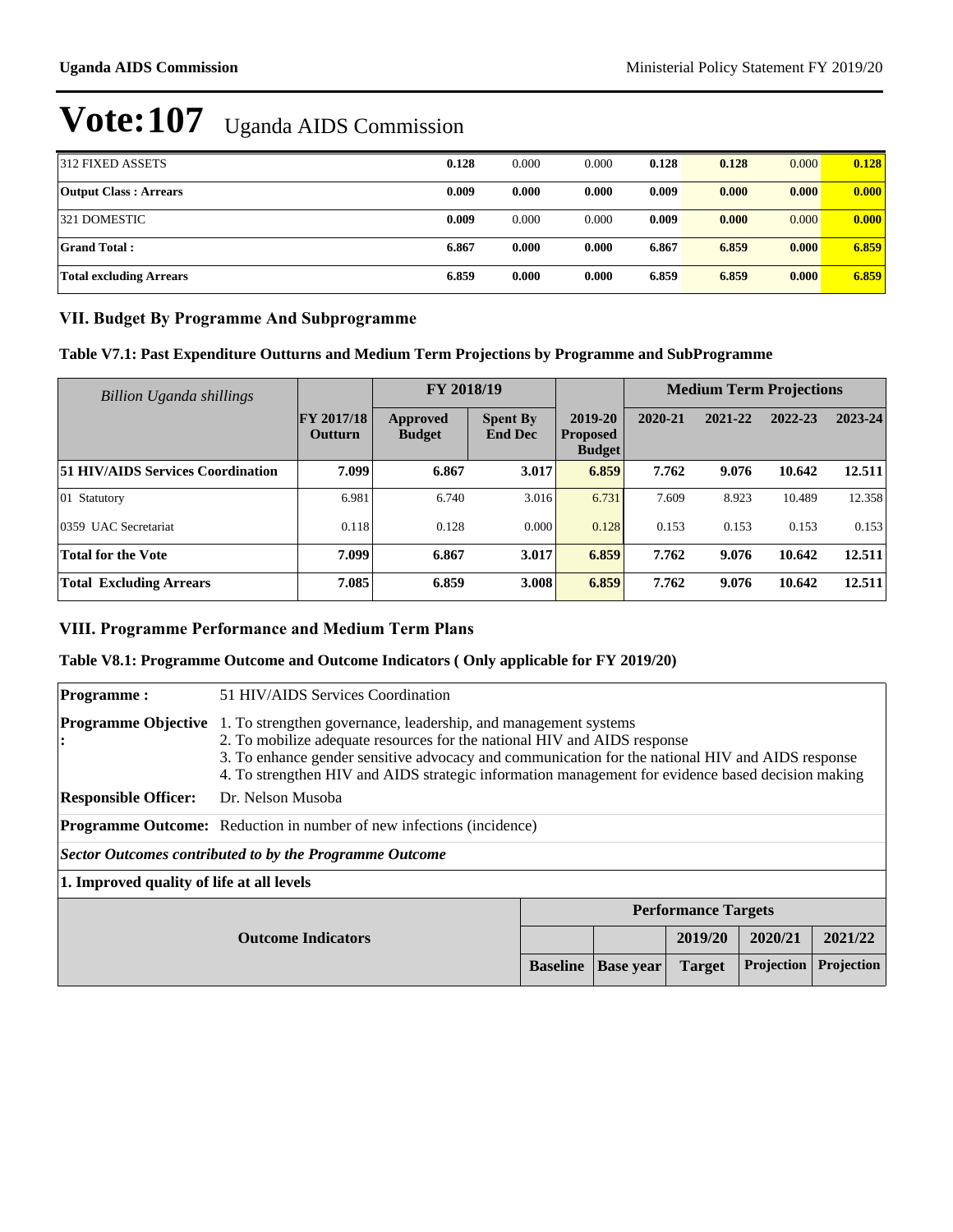| 312 FIXED ASSETS             | 0.128 | 0.000 | 0.000 | 0.128 | 0.128 | 0.000 | 0.128 |
|------------------------------|-------|-------|-------|-------|-------|-------|-------|
| <b>Output Class: Arrears</b> | 0.009 | 0.000 | 0.000 | 0.009 | 0.000 | 0.000 | 0.000 |
| 321 DOMESTIC                 | 0.009 | 0.000 | 0.000 | 0.009 | 0.000 | 0.000 | 0.000 |
| Grand Total :                | 6.867 | 0.000 | 0.000 | 6.867 | 6.859 | 0.000 | 6.859 |
| Total excluding Arrears      | 6.859 | 0.000 | 0.000 | 6.859 | 6.859 | 0.000 | 6.859 |

### **VII. Budget By Programme And Subprogramme**

### **Table V7.1: Past Expenditure Outturns and Medium Term Projections by Programme and SubProgramme**

| Billion Uganda shillings                 |                                     | FY 2018/19                       |                                   |                                             | <b>Medium Term Projections</b> |         |         |         |
|------------------------------------------|-------------------------------------|----------------------------------|-----------------------------------|---------------------------------------------|--------------------------------|---------|---------|---------|
|                                          | <b>FY 2017/18</b><br><b>Outturn</b> | <b>Approved</b><br><b>Budget</b> | <b>Spent By</b><br><b>End Dec</b> | 2019-20<br><b>Proposed</b><br><b>Budget</b> | 2020-21                        | 2021-22 | 2022-23 | 2023-24 |
| <b>51 HIV/AIDS Services Coordination</b> | 7.099                               | 6.867                            | 3.017                             | 6.859                                       | 7.762                          | 9.076   | 10.642  | 12.511  |
| $ 01 \t\t$ Statutory                     | 6.981                               | 6.740                            | 3.016                             | 6.731                                       | 7.609                          | 8.923   | 10.489  | 12.358  |
| 0359 UAC Secretariat                     | 0.118                               | 0.128                            | 0.000                             | 0.128                                       | 0.153                          | 0.153   | 0.153   | 0.153   |
| <b>Total for the Vote</b>                | 7.099                               | 6.867                            | 3.017                             | 6.859                                       | 7.762                          | 9.076   | 10.642  | 12.511  |
| <b>Total Excluding Arrears</b>           | 7.085                               | 6.859                            | 3.008                             | 6.859                                       | 7.762                          | 9.076   | 10.642  | 12.511  |

## **VIII. Programme Performance and Medium Term Plans**

### **Table V8.1: Programme Outcome and Outcome Indicators ( Only applicable for FY 2019/20)**

| <b>Programme:</b>                         | 51 HIV/AIDS Services Coordination                                                                                                                                                                                                                                                                                                                    |                 |                            |               |            |            |  |  |
|-------------------------------------------|------------------------------------------------------------------------------------------------------------------------------------------------------------------------------------------------------------------------------------------------------------------------------------------------------------------------------------------------------|-----------------|----------------------------|---------------|------------|------------|--|--|
| <b>Programme Objective</b>                | 1. To strengthen governance, leadership, and management systems<br>2. To mobilize adequate resources for the national HIV and AIDS response<br>3. To enhance gender sensitive advocacy and communication for the national HIV and AIDS response<br>4. To strengthen HIV and AIDS strategic information management for evidence based decision making |                 |                            |               |            |            |  |  |
| <b>Responsible Officer:</b>               | Dr. Nelson Musoba                                                                                                                                                                                                                                                                                                                                    |                 |                            |               |            |            |  |  |
|                                           | <b>Programme Outcome:</b> Reduction in number of new infections (incidence)                                                                                                                                                                                                                                                                          |                 |                            |               |            |            |  |  |
|                                           | Sector Outcomes contributed to by the Programme Outcome                                                                                                                                                                                                                                                                                              |                 |                            |               |            |            |  |  |
| 1. Improved quality of life at all levels |                                                                                                                                                                                                                                                                                                                                                      |                 |                            |               |            |            |  |  |
| <b>Outcome Indicators</b>                 |                                                                                                                                                                                                                                                                                                                                                      |                 | <b>Performance Targets</b> |               |            |            |  |  |
|                                           |                                                                                                                                                                                                                                                                                                                                                      |                 |                            | 2019/20       | 2020/21    | 2021/22    |  |  |
|                                           |                                                                                                                                                                                                                                                                                                                                                      | <b>Baseline</b> | <b>Base year</b>           | <b>Target</b> | Projection | Projection |  |  |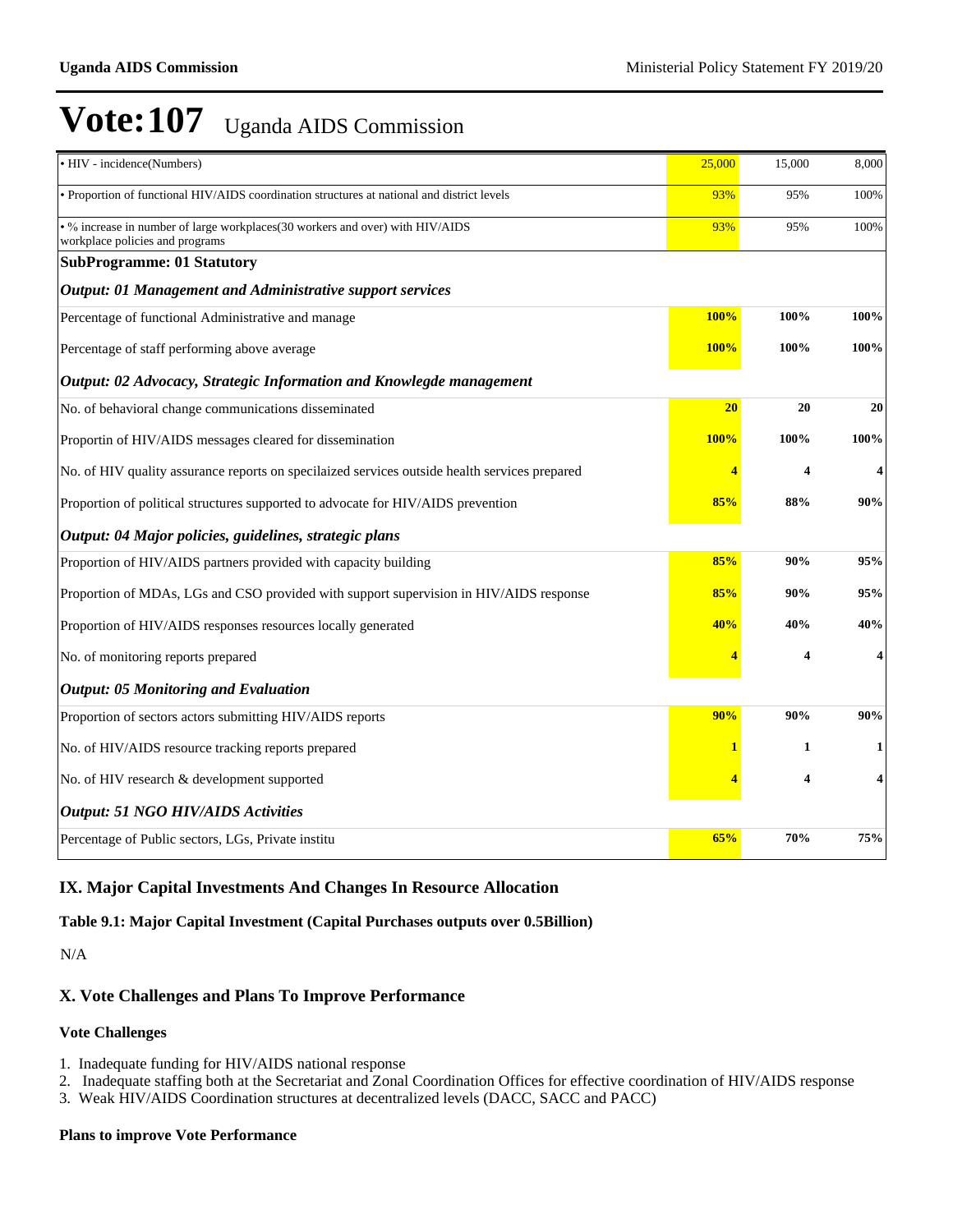| • HIV - incidence(Numbers)                                                                                       | 25,000      | 15,000                  | 8,000 |
|------------------------------------------------------------------------------------------------------------------|-------------|-------------------------|-------|
| • Proportion of functional HIV/AIDS coordination structures at national and district levels                      | 93%         | 95%                     | 100%  |
| • % increase in number of large workplaces(30 workers and over) with HIV/AIDS<br>workplace policies and programs | 93%         | 95%                     | 100%  |
| <b>SubProgramme: 01 Statutory</b>                                                                                |             |                         |       |
| <b>Output: 01 Management and Administrative support services</b>                                                 |             |                         |       |
| Percentage of functional Administrative and manage                                                               | 100%        | 100%                    | 100%  |
| Percentage of staff performing above average                                                                     | 100%        | 100%                    | 100%  |
| Output: 02 Advocacy, Strategic Information and Knowlegde management                                              |             |                         |       |
| No. of behavioral change communications disseminated                                                             | 20          | 20                      | 20    |
| Proportin of HIV/AIDS messages cleared for dissemination                                                         | <b>100%</b> | 100%                    | 100%  |
| No. of HIV quality assurance reports on specilaized services outside health services prepared                    |             | 4                       | 4     |
| Proportion of political structures supported to advocate for HIV/AIDS prevention                                 | 85%         | 88%                     | 90%   |
| Output: 04 Major policies, guidelines, strategic plans                                                           |             |                         |       |
| Proportion of HIV/AIDS partners provided with capacity building                                                  | 85%         | 90%                     | 95%   |
| Proportion of MDAs, LGs and CSO provided with support supervision in HIV/AIDS response                           | 85%         | 90%                     | 95%   |
| Proportion of HIV/AIDS responses resources locally generated                                                     | 40%         | 40%                     | 40%   |
| No. of monitoring reports prepared                                                                               |             | $\overline{\mathbf{4}}$ | 4     |
| <b>Output: 05 Monitoring and Evaluation</b>                                                                      |             |                         |       |
| Proportion of sectors actors submitting HIV/AIDS reports                                                         | 90%         | 90%                     | 90%   |
| No. of HIV/AIDS resource tracking reports prepared                                                               |             | 1                       | 1     |
| No. of HIV research & development supported                                                                      |             | $\overline{\mathbf{4}}$ | 4     |
| <b>Output: 51 NGO HIV/AIDS Activities</b>                                                                        |             |                         |       |
| Percentage of Public sectors, LGs, Private institu                                                               | 65%         | 70%                     | 75%   |

## **IX. Major Capital Investments And Changes In Resource Allocation**

### **Table 9.1: Major Capital Investment (Capital Purchases outputs over 0.5Billion)**

N/A

## **X. Vote Challenges and Plans To Improve Performance**

#### **Vote Challenges**

- 1. Inadequate funding for HIV/AIDS national response
- 2. Inadequate staffing both at the Secretariat and Zonal Coordination Offices for effective coordination of HIV/AIDS response
- 3. Weak HIV/AIDS Coordination structures at decentralized levels (DACC, SACC and PACC)

### **Plans to improve Vote Performance**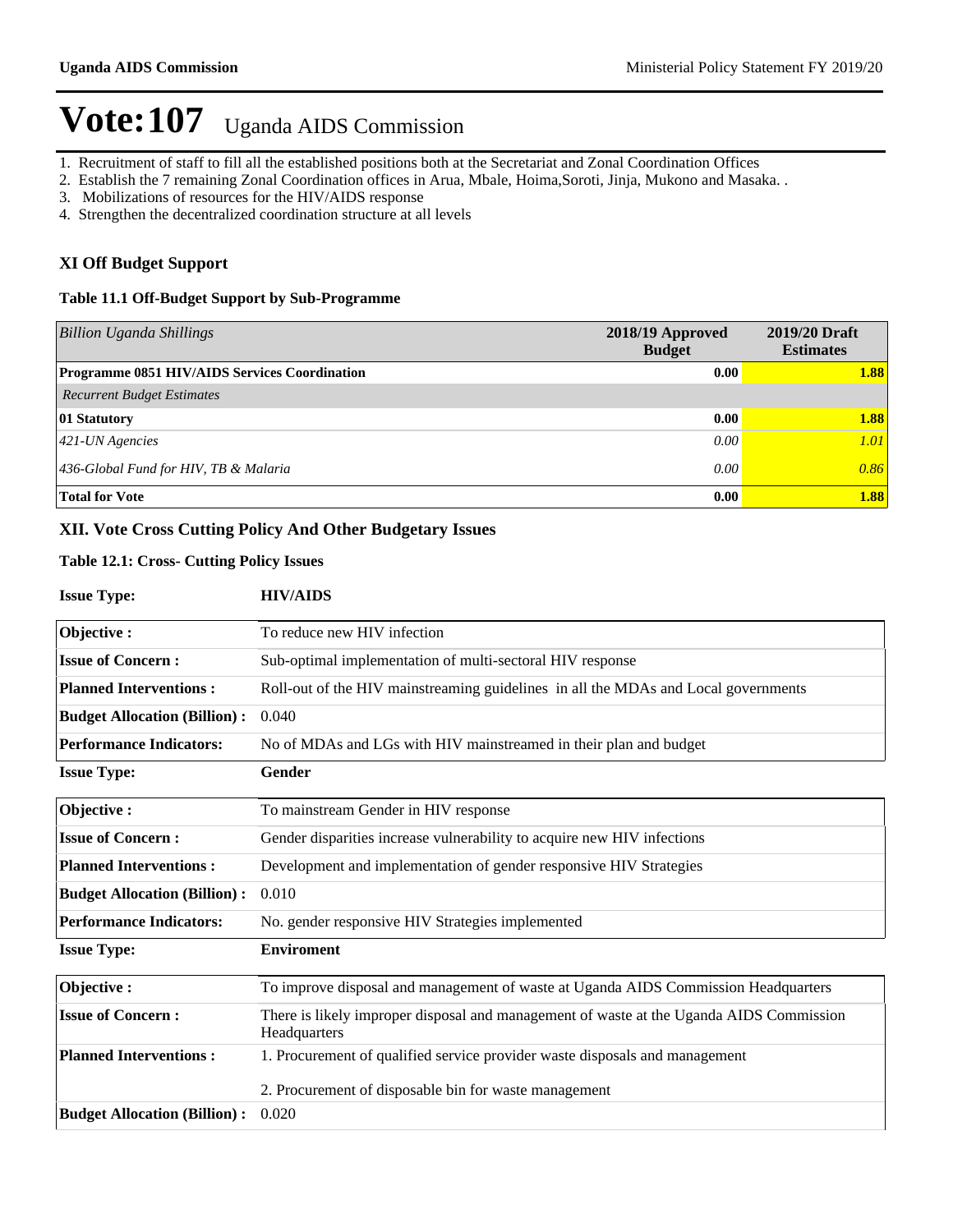- 1. Recruitment of staff to fill all the established positions both at the Secretariat and Zonal Coordination Offices
- 2. Establish the 7 remaining Zonal Coordination offices in Arua, Mbale, Hoima,Soroti, Jinja, Mukono and Masaka. .
- 3. Mobilizations of resources for the HIV/AIDS response
- 4. Strengthen the decentralized coordination structure at all levels

### **XI Off Budget Support**

### **Table 11.1 Off-Budget Support by Sub-Programme**

| <b>Billion Uganda Shillings</b>               | 2018/19 Approved<br><b>Budget</b> | 2019/20 Draft<br><b>Estimates</b> |
|-----------------------------------------------|-----------------------------------|-----------------------------------|
| Programme 0851 HIV/AIDS Services Coordination | 0.00                              | 1.88                              |
| <b>Recurrent Budget Estimates</b>             |                                   |                                   |
| 01 Statutory                                  | 0.00                              | 1.88                              |
| $421$ -UN Agencies                            | 0.00                              | 1.01                              |
| 436-Global Fund for HIV, TB & Malaria         | 0.00                              | 0.86                              |
| <b>Total for Vote</b>                         | 0.00                              | 1.88                              |

### **XII. Vote Cross Cutting Policy And Other Budgetary Issues**

### **Table 12.1: Cross- Cutting Policy Issues**

| <b>Issue Type:</b>                  | <b>HIV/AIDS</b>                                                                                         |
|-------------------------------------|---------------------------------------------------------------------------------------------------------|
| Objective:                          | To reduce new HIV infection                                                                             |
| <b>Issue of Concern:</b>            | Sub-optimal implementation of multi-sectoral HIV response                                               |
| <b>Planned Interventions:</b>       | Roll-out of the HIV mainstreaming guidelines in all the MDAs and Local governments                      |
| <b>Budget Allocation (Billion):</b> | 0.040                                                                                                   |
| <b>Performance Indicators:</b>      | No of MDAs and LGs with HIV mainstreamed in their plan and budget                                       |
| <b>Issue Type:</b>                  | Gender                                                                                                  |
| Objective:                          | To mainstream Gender in HIV response                                                                    |
| <b>Issue of Concern:</b>            | Gender disparities increase vulnerability to acquire new HIV infections                                 |
| <b>Planned Interventions:</b>       | Development and implementation of gender responsive HIV Strategies                                      |
| <b>Budget Allocation (Billion):</b> | 0.010                                                                                                   |
| <b>Performance Indicators:</b>      | No. gender responsive HIV Strategies implemented                                                        |
| <b>Issue Type:</b>                  | <b>Enviroment</b>                                                                                       |
| Objective:                          | To improve disposal and management of waste at Uganda AIDS Commission Headquarters                      |
| <b>Issue of Concern:</b>            | There is likely improper disposal and management of waste at the Uganda AIDS Commission<br>Headquarters |
| <b>Planned Interventions:</b>       | 1. Procurement of qualified service provider waste disposals and management                             |
|                                     | 2. Procurement of disposable bin for waste management                                                   |
| <b>Budget Allocation (Billion):</b> | 0.020                                                                                                   |